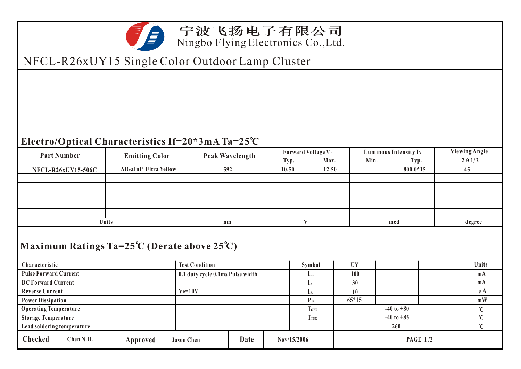

宁波飞扬电子有限公司 Ningbo Flying Electronics Co.,Ltd.

## NFCL-R26xUY15 Single Color Outdoor Lamp Cluster

## **Electro/Optical Characteristics If=20\*3mA Ta=25 C**

| <b>Part Number</b>                                                                                                                          |           | <b>Emitting Color</b>         |  |     | Peak Wavelength                  |       | <b>Forward Voltage VF</b> |                |             |                     | <b>Luminous Intensity Iv</b>        |  |       | <b>Viewing Angle</b> |  |
|---------------------------------------------------------------------------------------------------------------------------------------------|-----------|-------------------------------|--|-----|----------------------------------|-------|---------------------------|----------------|-------------|---------------------|-------------------------------------|--|-------|----------------------|--|
|                                                                                                                                             | Typ.      |                               |  |     |                                  |       |                           | Max.           | Min.        |                     | Typ.                                |  | 201/2 |                      |  |
| <b>AlGaInP Ultra Yellow</b><br><b>NFCL-R26xUY15-506C</b>                                                                                    |           |                               |  | 592 |                                  | 10.50 |                           | 12.50          |             |                     | 800.0*15                            |  | 45    |                      |  |
|                                                                                                                                             |           |                               |  |     |                                  |       |                           |                |             |                     |                                     |  |       |                      |  |
|                                                                                                                                             |           |                               |  |     |                                  |       |                           |                |             |                     |                                     |  |       |                      |  |
|                                                                                                                                             |           |                               |  |     |                                  |       |                           |                |             |                     |                                     |  |       |                      |  |
|                                                                                                                                             |           |                               |  |     |                                  |       |                           |                |             |                     |                                     |  |       |                      |  |
|                                                                                                                                             |           |                               |  |     |                                  |       |                           |                |             |                     |                                     |  |       |                      |  |
| Units                                                                                                                                       |           |                               |  |     | n <sub>m</sub>                   |       |                           | V              |             |                     | mcd                                 |  |       | degree               |  |
| Maximum Ratings Ta= $25^{\circ}$ C (Derate above $25^{\circ}$ C)<br><b>UY</b><br>Units<br>Characteristic<br><b>Test Condition</b><br>Symbol |           |                               |  |     |                                  |       |                           |                |             |                     |                                     |  |       |                      |  |
| <b>Pulse Forward Current</b>                                                                                                                |           |                               |  |     | 0.1 duty cycle 0.1ms Pulse width |       |                           | $I_{FP}$       |             | 100                 |                                     |  |       | m <sub>A</sub>       |  |
| DC Forward Current                                                                                                                          |           |                               |  |     |                                  |       |                           | $\mathbf{I}$ F |             | 30                  |                                     |  |       | m <sub>A</sub>       |  |
| <b>Reverse Current</b>                                                                                                                      |           |                               |  |     | $V_R = 10V$                      |       |                           | $I_{R}$        |             | 10                  |                                     |  |       | $\mu$ A              |  |
| <b>Power Dissipation</b>                                                                                                                    |           |                               |  |     |                                  |       |                           | P <sub>D</sub> |             | $65*15$             |                                     |  |       | mW                   |  |
| <b>Operating Temperature</b>                                                                                                                |           |                               |  |     |                                  |       |                           |                | <b>TOPR</b> |                     | $-40$ to $+80$                      |  |       | $^{\circ}$ C         |  |
| <b>Storage Temperature</b>                                                                                                                  |           |                               |  |     |                                  |       |                           |                | <b>TrsG</b> |                     | $\rm ^{\circ}\!C$<br>$-40$ to $+85$ |  |       |                      |  |
| Lead soldering temperature                                                                                                                  |           |                               |  |     |                                  |       |                           |                |             | $^{\circ}$ C<br>260 |                                     |  |       |                      |  |
| <b>Checked</b>                                                                                                                              | Chen N.H. | Approved<br><b>Jason Chen</b> |  |     |                                  | Date  | Nov/15/2006               |                |             |                     | <b>PAGE 1/2</b>                     |  |       |                      |  |